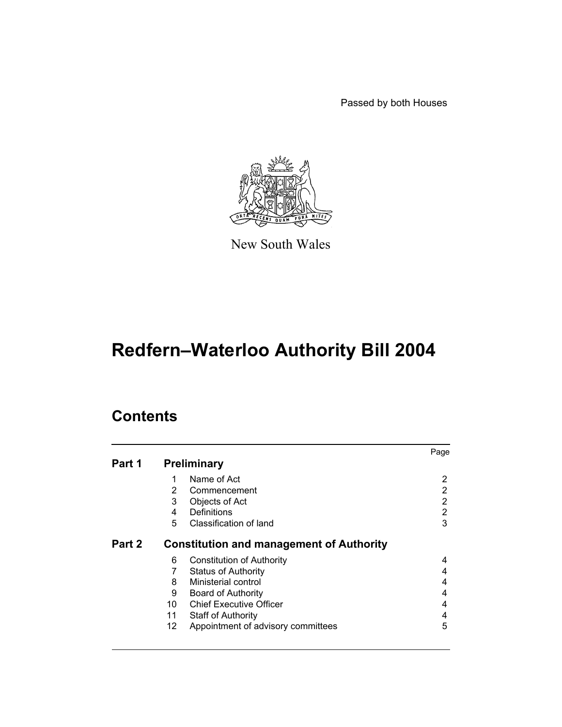Passed by both Houses



New South Wales

# **Redfern–Waterloo Authority Bill 2004**

# **Contents**

|        |                                                 | Page |
|--------|-------------------------------------------------|------|
| Part 1 | <b>Preliminary</b>                              |      |
|        | Name of Act                                     | 2    |
| 2      | Commencement                                    | 2    |
| 3      | Objects of Act                                  | 2    |
| 4      | Definitions                                     | 2    |
| 5      | Classification of land                          | 3    |
| Part 2 | <b>Constitution and management of Authority</b> |      |
| 6      | Constitution of Authority                       | 4    |
|        | <b>Status of Authority</b>                      | 4    |
| 8      | Ministerial control                             | 4    |
| 9      | Board of Authority                              | 4    |
| 10     | <b>Chief Executive Officer</b>                  | 4    |
| 11     | <b>Staff of Authority</b>                       | 4    |
| 12     | Appointment of advisory committees              | 5    |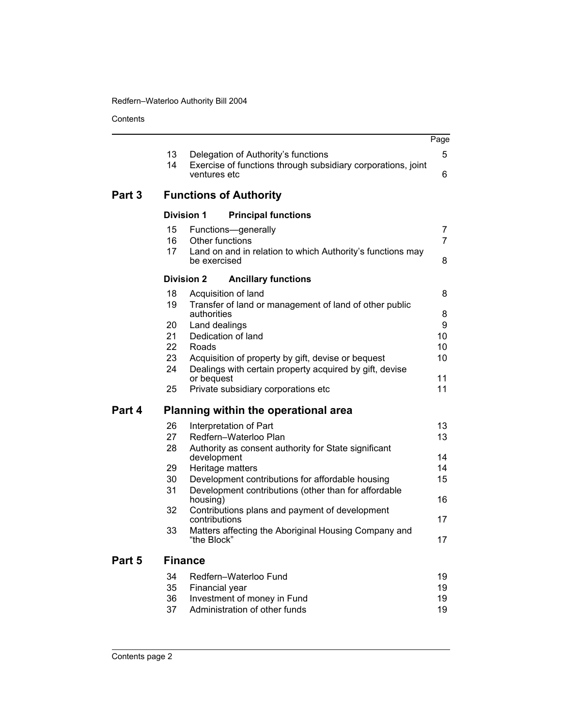**Contents** 

|        |                |                                                                                                               | Page                |
|--------|----------------|---------------------------------------------------------------------------------------------------------------|---------------------|
|        | 13             | Delegation of Authority's functions                                                                           | 5                   |
|        | 14             | Exercise of functions through subsidiary corporations, joint<br>ventures etc                                  | 6                   |
| Part 3 |                | <b>Functions of Authority</b>                                                                                 |                     |
|        |                | <b>Division 1</b><br><b>Principal functions</b>                                                               |                     |
|        | 15<br>16<br>17 | Functions-generally<br>Other functions<br>Land on and in relation to which Authority's functions may          | 7<br>$\overline{7}$ |
|        |                | be exercised                                                                                                  | 8                   |
|        |                | <b>Division 2</b><br><b>Ancillary functions</b>                                                               |                     |
|        | 18             | Acquisition of land                                                                                           | 8                   |
|        | 19             | Transfer of land or management of land of other public<br>authorities                                         | 8                   |
|        | 20             | Land dealings                                                                                                 | 9                   |
|        | 21             | Dedication of land                                                                                            | 10                  |
|        | 22<br>23       | Roads                                                                                                         | 10<br>10            |
|        | 24             | Acquisition of property by gift, devise or bequest<br>Dealings with certain property acquired by gift, devise |                     |
|        |                | or bequest                                                                                                    | 11                  |
|        | 25             | Private subsidiary corporations etc                                                                           | 11                  |
| Part 4 |                | Planning within the operational area                                                                          |                     |
|        | 26             | Interpretation of Part                                                                                        | 13                  |
|        | 27             | Redfern-Waterloo Plan                                                                                         | 13                  |
|        | 28             | Authority as consent authority for State significant<br>development                                           | 14                  |
|        | 29             | Heritage matters                                                                                              | 14                  |
|        | 30             | Development contributions for affordable housing                                                              | 15                  |
|        | 31             | Development contributions (other than for affordable<br>housing)                                              | 16                  |
|        | 32             | Contributions plans and payment of development<br>contributions                                               | 17                  |
|        | 33             | Matters affecting the Aboriginal Housing Company and<br>"the Block"                                           | 17                  |
| Part 5 |                | <b>Finance</b>                                                                                                |                     |
|        | 34             | Redfern-Waterloo Fund                                                                                         | 19                  |
|        | 35             | Financial year                                                                                                | 19                  |
|        | 36             | Investment of money in Fund                                                                                   | 19                  |
|        | 37             | Administration of other funds                                                                                 | 19                  |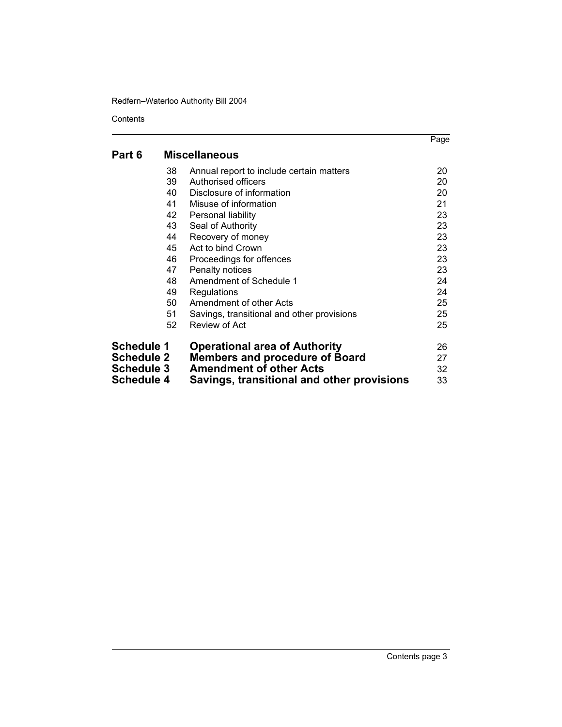**Contents** 

|                   |    |                                            | Page |
|-------------------|----|--------------------------------------------|------|
| Part 6            |    | <b>Miscellaneous</b>                       |      |
|                   | 38 | Annual report to include certain matters   | 20   |
|                   | 39 | Authorised officers                        | 20   |
|                   | 40 | Disclosure of information                  | 20   |
|                   | 41 | Misuse of information                      | 21   |
|                   | 42 | Personal liability                         | 23   |
|                   | 43 | Seal of Authority                          | 23   |
|                   | 44 | Recovery of money                          | 23   |
|                   | 45 | Act to bind Crown                          | 23   |
|                   | 46 | Proceedings for offences                   | 23   |
|                   | 47 | Penalty notices                            | 23   |
|                   | 48 | Amendment of Schedule 1                    | 24   |
|                   | 49 | Regulations                                | 24   |
|                   | 50 | Amendment of other Acts                    | 25   |
|                   | 51 | Savings, transitional and other provisions | 25   |
|                   | 52 | Review of Act                              | 25   |
| <b>Schedule 1</b> |    | <b>Operational area of Authority</b>       | 26   |
| <b>Schedule 2</b> |    | <b>Members and procedure of Board</b>      | 27   |
| Schedule 3        |    | <b>Amendment of other Acts</b>             | 32   |
| Schedule 4        |    | Savings, transitional and other provisions | 33   |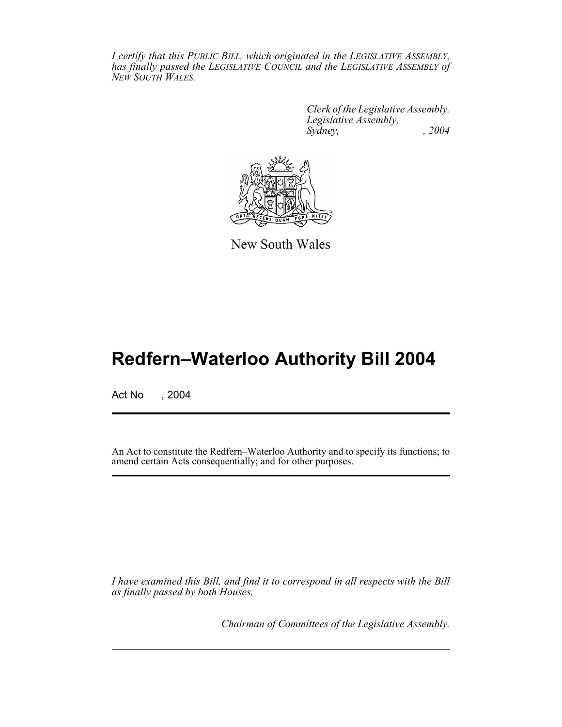*I certify that this PUBLIC BILL, which originated in the LEGISLATIVE ASSEMBLY, has finally passed the LEGISLATIVE COUNCIL and the LEGISLATIVE ASSEMBLY of NEW SOUTH WALES.*

> *Clerk of the Legislative Assembly. Legislative Assembly, Sydney, , 2004*



New South Wales

# **Redfern–Waterloo Authority Bill 2004**

Act No , 2004

An Act to constitute the Redfern–Waterloo Authority and to specify its functions; to amend certain Acts consequentially; and for other purposes.

*I have examined this Bill, and find it to correspond in all respects with the Bill as finally passed by both Houses.*

*Chairman of Committees of the Legislative Assembly.*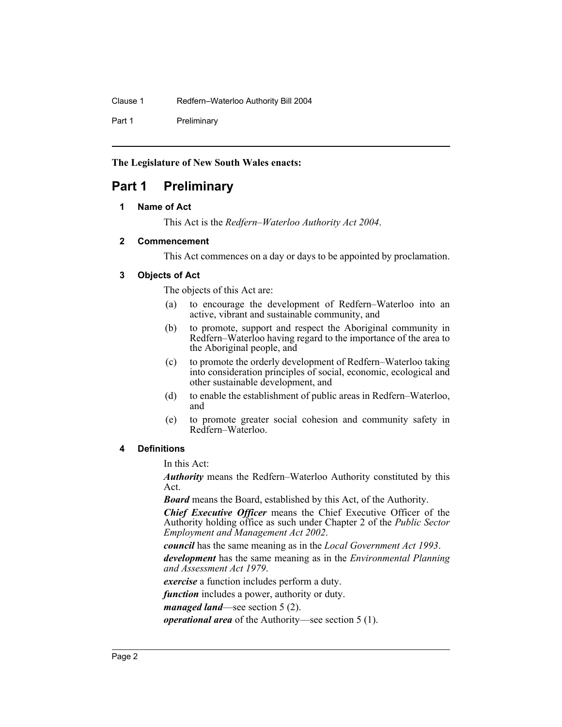Part 1 Preliminary

#### **The Legislature of New South Wales enacts:**

## <span id="page-4-0"></span>**Part 1 Preliminary**

#### **1 Name of Act**

This Act is the *Redfern–Waterloo Authority Act 2004*.

#### <span id="page-4-1"></span>**2 Commencement**

This Act commences on a day or days to be appointed by proclamation.

#### <span id="page-4-2"></span>**3 Objects of Act**

The objects of this Act are:

- (a) to encourage the development of Redfern–Waterloo into an active, vibrant and sustainable community, and
- (b) to promote, support and respect the Aboriginal community in Redfern–Waterloo having regard to the importance of the area to the Aboriginal people, and
- (c) to promote the orderly development of Redfern–Waterloo taking into consideration principles of social, economic, ecological and other sustainable development, and
- (d) to enable the establishment of public areas in Redfern–Waterloo, and
- (e) to promote greater social cohesion and community safety in Redfern–Waterloo.

#### <span id="page-4-3"></span>**4 Definitions**

In this Act:

*Authority* means the Redfern–Waterloo Authority constituted by this Act.

*Board* means the Board, established by this Act, of the Authority.

*Chief Executive Officer* means the Chief Executive Officer of the Authority holding office as such under Chapter 2 of the *Public Sector Employment and Management Act 2002*.

*council* has the same meaning as in the *Local Government Act 1993*.

*development* has the same meaning as in the *Environmental Planning and Assessment Act 1979*.

*exercise* a function includes perform a duty.

*function* includes a power, authority or duty.

*managed land*—see section 5 (2).

*operational area* of the Authority—see section 5 (1).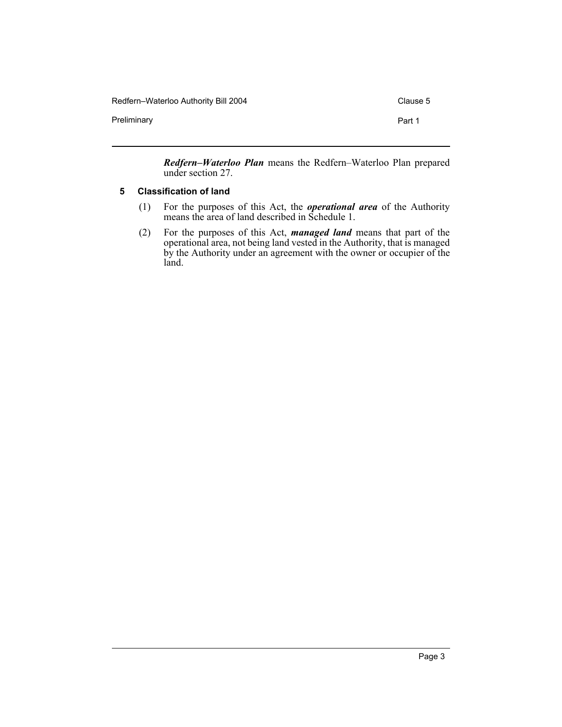Redfern–Waterloo Authority Bill 2004 Clause 5

Preliminary **Preliminary Part 1** 

*Redfern–Waterloo Plan* means the Redfern–Waterloo Plan prepared under section 27.

#### <span id="page-5-0"></span>**5 Classification of land**

- (1) For the purposes of this Act, the *operational area* of the Authority means the area of land described in Schedule 1.
- (2) For the purposes of this Act, *managed land* means that part of the operational area, not being land vested in the Authority, that is managed by the Authority under an agreement with the owner or occupier of the land.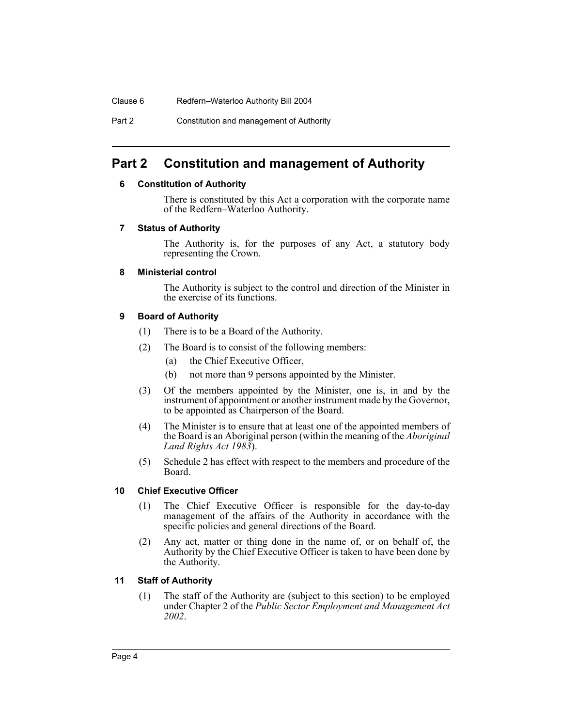Clause 6 Redfern–Waterloo Authority Bill 2004

Part 2 Constitution and management of Authority

## <span id="page-6-1"></span><span id="page-6-0"></span>**Part 2 Constitution and management of Authority**

#### **6 Constitution of Authority**

There is constituted by this Act a corporation with the corporate name of the Redfern–Waterloo Authority.

#### <span id="page-6-2"></span>**7 Status of Authority**

The Authority is, for the purposes of any Act, a statutory body representing the Crown.

#### <span id="page-6-3"></span>**8 Ministerial control**

The Authority is subject to the control and direction of the Minister in the exercise of its functions.

#### <span id="page-6-4"></span>**9 Board of Authority**

- (1) There is to be a Board of the Authority.
- (2) The Board is to consist of the following members:
	- (a) the Chief Executive Officer,
	- (b) not more than 9 persons appointed by the Minister.
- (3) Of the members appointed by the Minister, one is, in and by the instrument of appointment or another instrument made by the Governor, to be appointed as Chairperson of the Board.
- (4) The Minister is to ensure that at least one of the appointed members of the Board is an Aboriginal person (within the meaning of the *Aboriginal Land Rights Act 1983*).
- (5) Schedule 2 has effect with respect to the members and procedure of the Board.

#### <span id="page-6-5"></span>**10 Chief Executive Officer**

- (1) The Chief Executive Officer is responsible for the day-to-day management of the affairs of the Authority in accordance with the specific policies and general directions of the Board.
- (2) Any act, matter or thing done in the name of, or on behalf of, the Authority by the Chief Executive Officer is taken to have been done by the Authority.

#### <span id="page-6-6"></span>**11 Staff of Authority**

(1) The staff of the Authority are (subject to this section) to be employed under Chapter 2 of the *Public Sector Employment and Management Act 2002*.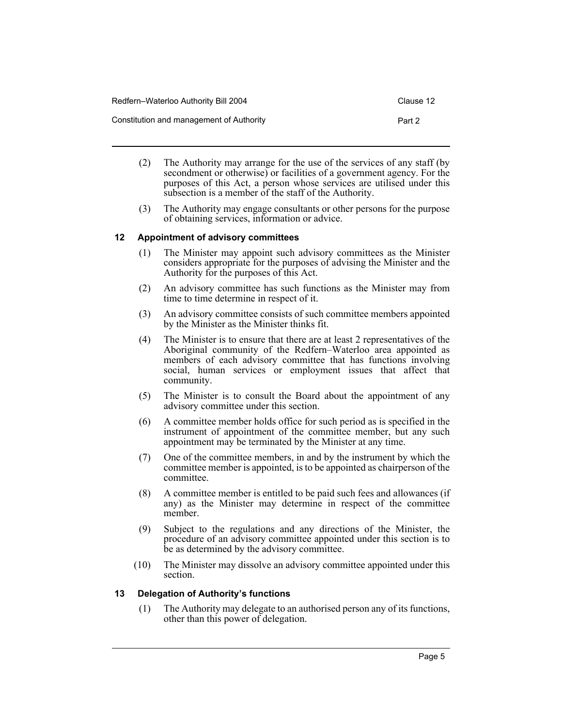| Redfern-Waterloo Authority Bill 2004     | Clause 12 |
|------------------------------------------|-----------|
| Constitution and management of Authority | Part 2    |

- (2) The Authority may arrange for the use of the services of any staff (by secondment or otherwise) or facilities of a government agency. For the purposes of this Act, a person whose services are utilised under this subsection is a member of the staff of the Authority.
- (3) The Authority may engage consultants or other persons for the purpose of obtaining services, information or advice.

#### <span id="page-7-0"></span>**12 Appointment of advisory committees**

- (1) The Minister may appoint such advisory committees as the Minister considers appropriate for the purposes of advising the Minister and the Authority for the purposes of this Act.
- (2) An advisory committee has such functions as the Minister may from time to time determine in respect of it.
- (3) An advisory committee consists of such committee members appointed by the Minister as the Minister thinks fit.
- (4) The Minister is to ensure that there are at least 2 representatives of the Aboriginal community of the Redfern–Waterloo area appointed as members of each advisory committee that has functions involving social, human services or employment issues that affect that community.
- (5) The Minister is to consult the Board about the appointment of any advisory committee under this section.
- (6) A committee member holds office for such period as is specified in the instrument of appointment of the committee member, but any such appointment may be terminated by the Minister at any time.
- (7) One of the committee members, in and by the instrument by which the committee member is appointed, is to be appointed as chairperson of the committee.
- (8) A committee member is entitled to be paid such fees and allowances (if any) as the Minister may determine in respect of the committee member.
- (9) Subject to the regulations and any directions of the Minister, the procedure of an advisory committee appointed under this section is to be as determined by the advisory committee.
- (10) The Minister may dissolve an advisory committee appointed under this section.

#### <span id="page-7-1"></span>**13 Delegation of Authority's functions**

(1) The Authority may delegate to an authorised person any of its functions, other than this power of delegation.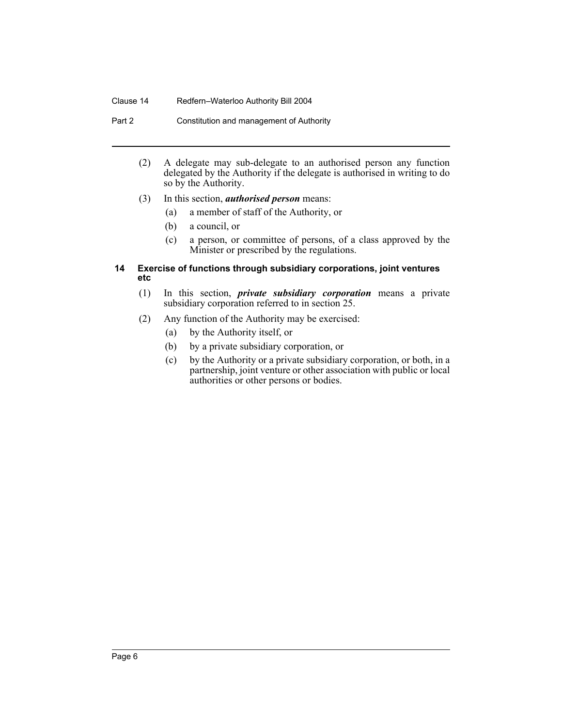#### Clause 14 Redfern–Waterloo Authority Bill 2004

Part 2 Constitution and management of Authority

- (2) A delegate may sub-delegate to an authorised person any function delegated by the Authority if the delegate is authorised in writing to do so by the Authority.
- (3) In this section, *authorised person* means:
	- (a) a member of staff of the Authority, or
	- (b) a council, or
	- (c) a person, or committee of persons, of a class approved by the Minister or prescribed by the regulations.

#### <span id="page-8-0"></span>**14 Exercise of functions through subsidiary corporations, joint ventures etc**

- (1) In this section, *private subsidiary corporation* means a private subsidiary corporation referred to in section 25.
- (2) Any function of the Authority may be exercised:
	- (a) by the Authority itself, or
	- (b) by a private subsidiary corporation, or
	- (c) by the Authority or a private subsidiary corporation, or both, in a partnership, joint venture or other association with public or local authorities or other persons or bodies.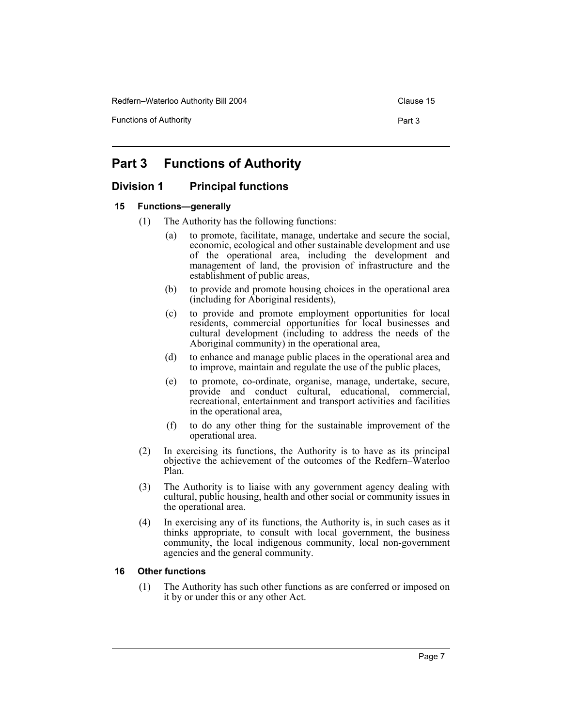Redfern–Waterloo Authority Bill 2004 Clause 15

Functions of Authority **Part 3** Part 3

## <span id="page-9-0"></span>**Part 3 Functions of Authority**

#### <span id="page-9-1"></span>**Division 1 Principal functions**

#### <span id="page-9-2"></span>**15 Functions—generally**

- (1) The Authority has the following functions:
	- (a) to promote, facilitate, manage, undertake and secure the social, economic, ecological and other sustainable development and use of the operational area, including the development and management of land, the provision of infrastructure and the establishment of public areas,
	- (b) to provide and promote housing choices in the operational area (including for Aboriginal residents),
	- (c) to provide and promote employment opportunities for local residents, commercial opportunities for local businesses and cultural development (including to address the needs of the Aboriginal community) in the operational area,
	- (d) to enhance and manage public places in the operational area and to improve, maintain and regulate the use of the public places,
	- (e) to promote, co-ordinate, organise, manage, undertake, secure, provide and conduct cultural, educational, commercial, recreational, entertainment and transport activities and facilities in the operational area,
	- (f) to do any other thing for the sustainable improvement of the operational area.
- (2) In exercising its functions, the Authority is to have as its principal objective the achievement of the outcomes of the Redfern–Waterloo Plan.
- (3) The Authority is to liaise with any government agency dealing with cultural, public housing, health and other social or community issues in the operational area.
- (4) In exercising any of its functions, the Authority is, in such cases as it thinks appropriate, to consult with local government, the business community, the local indigenous community, local non-government agencies and the general community.

#### <span id="page-9-3"></span>**16 Other functions**

(1) The Authority has such other functions as are conferred or imposed on it by or under this or any other Act.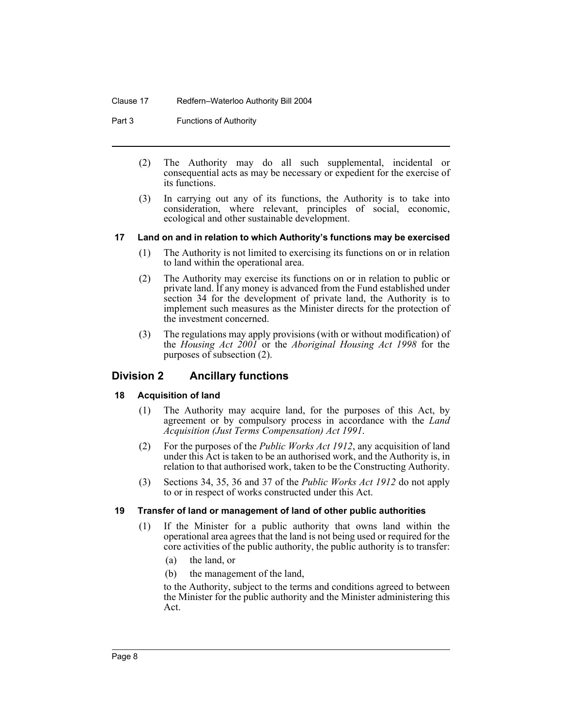#### Clause 17 Redfern–Waterloo Authority Bill 2004

#### Part 3 **Functions of Authority**

- (2) The Authority may do all such supplemental, incidental or consequential acts as may be necessary or expedient for the exercise of its functions.
- (3) In carrying out any of its functions, the Authority is to take into consideration, where relevant, principles of social, economic, ecological and other sustainable development.

#### <span id="page-10-0"></span>**17 Land on and in relation to which Authority's functions may be exercised**

- (1) The Authority is not limited to exercising its functions on or in relation to land within the operational area.
- (2) The Authority may exercise its functions on or in relation to public or private land. If any money is advanced from the Fund established under section 34 for the development of private land, the Authority is to implement such measures as the Minister directs for the protection of the investment concerned.
- (3) The regulations may apply provisions (with or without modification) of the *Housing Act 2001* or the *Aboriginal Housing Act 1998* for the purposes of subsection (2).

#### <span id="page-10-1"></span>**Division 2 Ancillary functions**

#### <span id="page-10-2"></span>**18 Acquisition of land**

- (1) The Authority may acquire land, for the purposes of this Act, by agreement or by compulsory process in accordance with the *Land Acquisition (Just Terms Compensation) Act 1991*.
- (2) For the purposes of the *Public Works Act 1912*, any acquisition of land under this Act is taken to be an authorised work, and the Authority is, in relation to that authorised work, taken to be the Constructing Authority.
- (3) Sections 34, 35, 36 and 37 of the *Public Works Act 1912* do not apply to or in respect of works constructed under this Act.

#### <span id="page-10-3"></span>**19 Transfer of land or management of land of other public authorities**

- (1) If the Minister for a public authority that owns land within the operational area agrees that the land is not being used or required for the core activities of the public authority, the public authority is to transfer:
	- (a) the land, or
	- (b) the management of the land,

to the Authority, subject to the terms and conditions agreed to between the Minister for the public authority and the Minister administering this Act.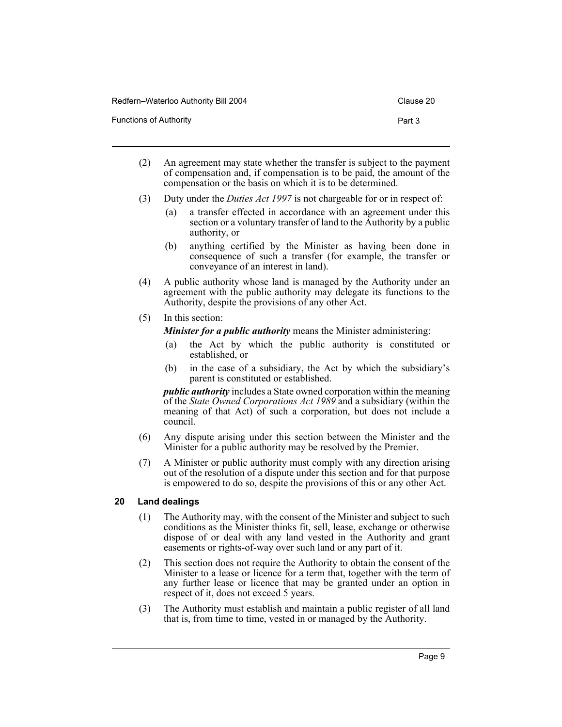| Redfern–Waterloo Authority Bill 2004 | Clause 20 |
|--------------------------------------|-----------|
| Functions of Authority               | Part 3    |

- (2) An agreement may state whether the transfer is subject to the payment of compensation and, if compensation is to be paid, the amount of the compensation or the basis on which it is to be determined.
- (3) Duty under the *Duties Act 1997* is not chargeable for or in respect of:
	- (a) a transfer effected in accordance with an agreement under this section or a voluntary transfer of land to the Authority by a public authority, or
	- (b) anything certified by the Minister as having been done in consequence of such a transfer (for example, the transfer or conveyance of an interest in land).
- (4) A public authority whose land is managed by the Authority under an agreement with the public authority may delegate its functions to the Authority, despite the provisions of any other Act.
- (5) In this section:
	- *Minister for a public authority* means the Minister administering:
		- (a) the Act by which the public authority is constituted or established, or
		- (b) in the case of a subsidiary, the Act by which the subsidiary's parent is constituted or established.

*public authority* includes a State owned corporation within the meaning of the *State Owned Corporations Act 1989* and a subsidiary (within the meaning of that Act) of such a corporation, but does not include a council.

- (6) Any dispute arising under this section between the Minister and the Minister for a public authority may be resolved by the Premier.
- (7) A Minister or public authority must comply with any direction arising out of the resolution of a dispute under this section and for that purpose is empowered to do so, despite the provisions of this or any other Act.

#### <span id="page-11-0"></span>**20 Land dealings**

- (1) The Authority may, with the consent of the Minister and subject to such conditions as the Minister thinks fit, sell, lease, exchange or otherwise dispose of or deal with any land vested in the Authority and grant easements or rights-of-way over such land or any part of it.
- (2) This section does not require the Authority to obtain the consent of the Minister to a lease or licence for a term that, together with the term of any further lease or licence that may be granted under an option in respect of it, does not exceed 5 years.
- (3) The Authority must establish and maintain a public register of all land that is, from time to time, vested in or managed by the Authority.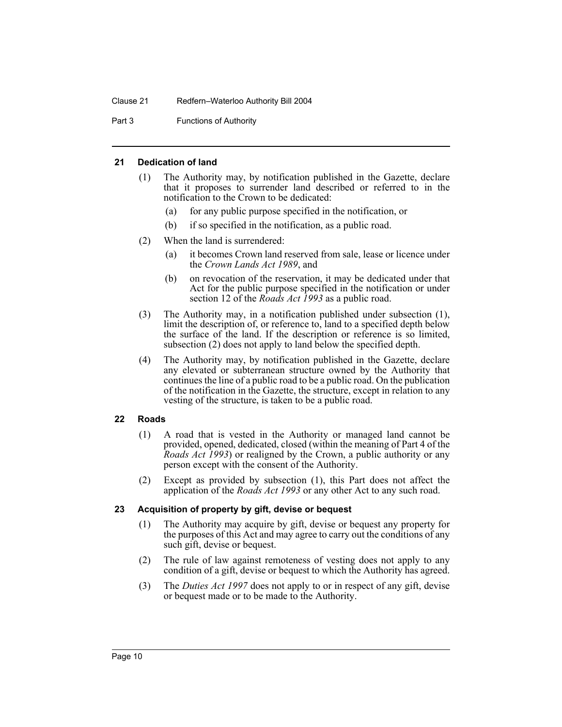Part 3 **Functions of Authority** 

#### <span id="page-12-0"></span>**21 Dedication of land**

- (1) The Authority may, by notification published in the Gazette, declare that it proposes to surrender land described or referred to in the notification to the Crown to be dedicated:
	- (a) for any public purpose specified in the notification, or
	- (b) if so specified in the notification, as a public road.
- (2) When the land is surrendered:
	- (a) it becomes Crown land reserved from sale, lease or licence under the *Crown Lands Act 1989*, and
	- (b) on revocation of the reservation, it may be dedicated under that Act for the public purpose specified in the notification or under section 12 of the *Roads Act 1993* as a public road.
- (3) The Authority may, in a notification published under subsection (1), limit the description of, or reference to, land to a specified depth below the surface of the land. If the description or reference is so limited, subsection (2) does not apply to land below the specified depth.
- (4) The Authority may, by notification published in the Gazette, declare any elevated or subterranean structure owned by the Authority that continues the line of a public road to be a public road. On the publication of the notification in the Gazette, the structure, except in relation to any vesting of the structure, is taken to be a public road.

#### <span id="page-12-1"></span>**22 Roads**

- (1) A road that is vested in the Authority or managed land cannot be provided, opened, dedicated, closed (within the meaning of Part 4 of the *Roads Act 1993*) or realigned by the Crown, a public authority or any person except with the consent of the Authority.
- (2) Except as provided by subsection (1), this Part does not affect the application of the *Roads Act 1993* or any other Act to any such road.

#### <span id="page-12-2"></span>**23 Acquisition of property by gift, devise or bequest**

- (1) The Authority may acquire by gift, devise or bequest any property for the purposes of this Act and may agree to carry out the conditions of any such gift, devise or bequest.
- (2) The rule of law against remoteness of vesting does not apply to any condition of a gift, devise or bequest to which the Authority has agreed.
- (3) The *Duties Act 1997* does not apply to or in respect of any gift, devise or bequest made or to be made to the Authority.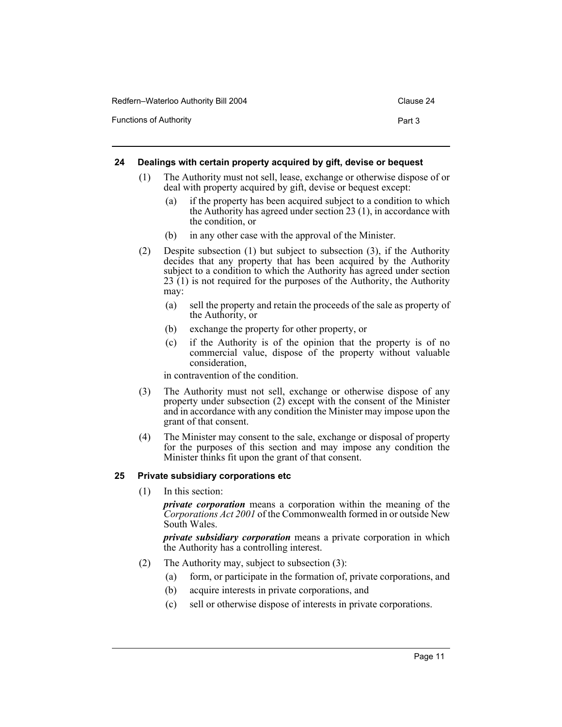| Redfern-Waterloo Authority Bill 2004 | Clause 24 |
|--------------------------------------|-----------|
| <b>Functions of Authority</b>        | Part 3    |

#### <span id="page-13-0"></span>**24 Dealings with certain property acquired by gift, devise or bequest**

- (1) The Authority must not sell, lease, exchange or otherwise dispose of or deal with property acquired by gift, devise or bequest except:
	- (a) if the property has been acquired subject to a condition to which the Authority has agreed under section 23 (1), in accordance with the condition, or
	- (b) in any other case with the approval of the Minister.
- (2) Despite subsection (1) but subject to subsection (3), if the Authority decides that any property that has been acquired by the Authority subject to a condition to which the Authority has agreed under section 23 (1) is not required for the purposes of the Authority, the Authority may:
	- (a) sell the property and retain the proceeds of the sale as property of the Authority, or
	- (b) exchange the property for other property, or
	- (c) if the Authority is of the opinion that the property is of no commercial value, dispose of the property without valuable consideration,

in contravention of the condition.

- (3) The Authority must not sell, exchange or otherwise dispose of any property under subsection (2) except with the consent of the Minister and in accordance with any condition the Minister may impose upon the grant of that consent.
- (4) The Minister may consent to the sale, exchange or disposal of property for the purposes of this section and may impose any condition the Minister thinks fit upon the grant of that consent.

#### <span id="page-13-1"></span>**25 Private subsidiary corporations etc**

(1) In this section:

*private corporation* means a corporation within the meaning of the *Corporations Act 2001* of the Commonwealth formed in or outside New South Wales.

*private subsidiary corporation* means a private corporation in which the Authority has a controlling interest.

- (2) The Authority may, subject to subsection (3):
	- (a) form, or participate in the formation of, private corporations, and
	- (b) acquire interests in private corporations, and
	- (c) sell or otherwise dispose of interests in private corporations.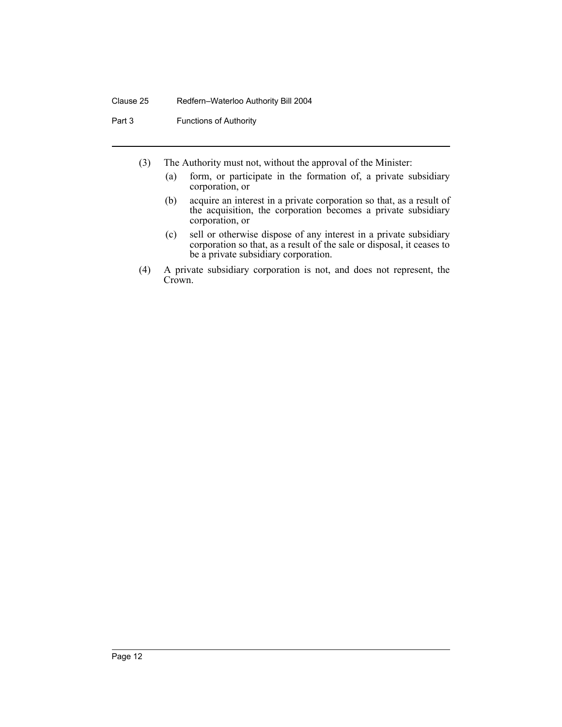Part 3 **Functions of Authority** 

- (3) The Authority must not, without the approval of the Minister:
	- (a) form, or participate in the formation of, a private subsidiary corporation, or
	- (b) acquire an interest in a private corporation so that, as a result of the acquisition, the corporation becomes a private subsidiary corporation, or
	- (c) sell or otherwise dispose of any interest in a private subsidiary corporation so that, as a result of the sale or disposal, it ceases to be a private subsidiary corporation.
- (4) A private subsidiary corporation is not, and does not represent, the Crown.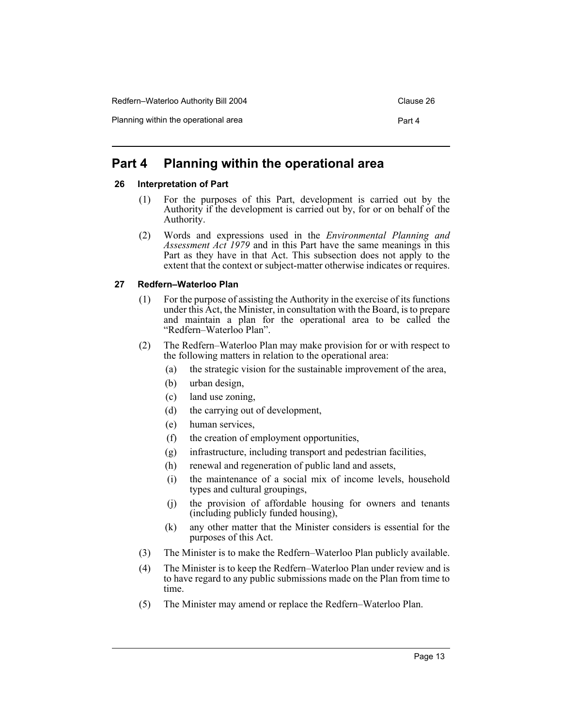## <span id="page-15-0"></span>**Part 4 Planning within the operational area**

#### <span id="page-15-1"></span>**26 Interpretation of Part**

- (1) For the purposes of this Part, development is carried out by the Authority if the development is carried out by, for or on behalf of the Authority.
- (2) Words and expressions used in the *Environmental Planning and Assessment Act 1979* and in this Part have the same meanings in this Part as they have in that Act. This subsection does not apply to the extent that the context or subject-matter otherwise indicates or requires.

#### <span id="page-15-2"></span>**27 Redfern–Waterloo Plan**

- (1) For the purpose of assisting the Authority in the exercise of its functions under this Act, the Minister, in consultation with the Board, is to prepare and maintain a plan for the operational area to be called the "Redfern–Waterloo Plan".
- (2) The Redfern–Waterloo Plan may make provision for or with respect to the following matters in relation to the operational area:
	- (a) the strategic vision for the sustainable improvement of the area,
	- (b) urban design,
	- (c) land use zoning,
	- (d) the carrying out of development,
	- (e) human services,
	- (f) the creation of employment opportunities,
	- (g) infrastructure, including transport and pedestrian facilities,
	- (h) renewal and regeneration of public land and assets,
	- (i) the maintenance of a social mix of income levels, household types and cultural groupings,
	- (j) the provision of affordable housing for owners and tenants (including publicly funded housing),
	- (k) any other matter that the Minister considers is essential for the purposes of this Act.
- (3) The Minister is to make the Redfern–Waterloo Plan publicly available.
- (4) The Minister is to keep the Redfern–Waterloo Plan under review and is to have regard to any public submissions made on the Plan from time to time.
- (5) The Minister may amend or replace the Redfern–Waterloo Plan.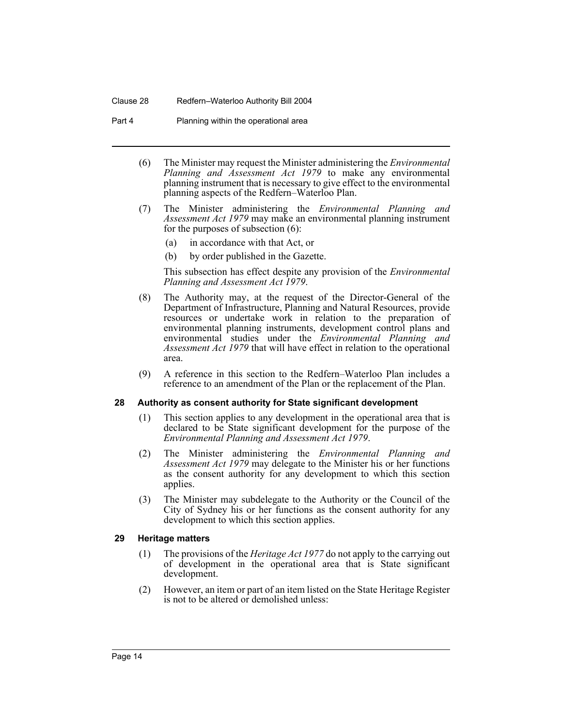#### Clause 28 Redfern–Waterloo Authority Bill 2004

Part 4 Planning within the operational area

- (6) The Minister may request the Minister administering the *Environmental Planning and Assessment Act 1979* to make any environmental planning instrument that is necessary to give effect to the environmental planning aspects of the Redfern–Waterloo Plan.
- (7) The Minister administering the *Environmental Planning and Assessment Act 1979* may make an environmental planning instrument for the purposes of subsection (6):
	- (a) in accordance with that Act, or
	- (b) by order published in the Gazette.

This subsection has effect despite any provision of the *Environmental Planning and Assessment Act 1979*.

- (8) The Authority may, at the request of the Director-General of the Department of Infrastructure, Planning and Natural Resources, provide resources or undertake work in relation to the preparation of environmental planning instruments, development control plans and environmental studies under the *Environmental Planning and Assessment Act 1979* that will have effect in relation to the operational area.
- (9) A reference in this section to the Redfern–Waterloo Plan includes a reference to an amendment of the Plan or the replacement of the Plan.

#### <span id="page-16-0"></span>**28 Authority as consent authority for State significant development**

- (1) This section applies to any development in the operational area that is declared to be State significant development for the purpose of the *Environmental Planning and Assessment Act 1979*.
- (2) The Minister administering the *Environmental Planning and Assessment Act 1979* may delegate to the Minister his or her functions as the consent authority for any development to which this section applies.
- (3) The Minister may subdelegate to the Authority or the Council of the City of Sydney his or her functions as the consent authority for any development to which this section applies.

#### <span id="page-16-1"></span>**29 Heritage matters**

- (1) The provisions of the *Heritage Act 1977* do not apply to the carrying out of development in the operational area that is State significant development.
- (2) However, an item or part of an item listed on the State Heritage Register is not to be altered or demolished unless: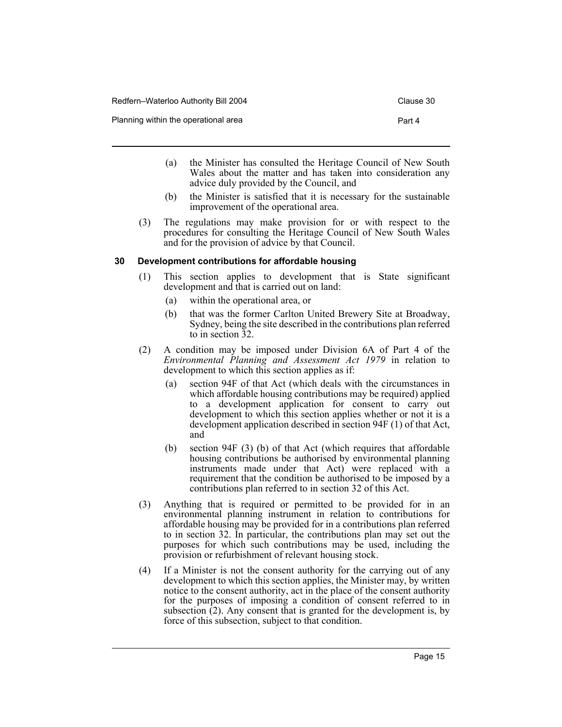- (a) the Minister has consulted the Heritage Council of New South Wales about the matter and has taken into consideration any advice duly provided by the Council, and
- (b) the Minister is satisfied that it is necessary for the sustainable improvement of the operational area.
- (3) The regulations may make provision for or with respect to the procedures for consulting the Heritage Council of New South Wales and for the provision of advice by that Council.

#### <span id="page-17-0"></span>**30 Development contributions for affordable housing**

- (1) This section applies to development that is State significant development and that is carried out on land:
	- (a) within the operational area, or
	- (b) that was the former Carlton United Brewery Site at Broadway, Sydney, being the site described in the contributions plan referred to in section 32.
- (2) A condition may be imposed under Division 6A of Part 4 of the *Environmental Planning and Assessment Act 1979* in relation to development to which this section applies as if:
	- (a) section 94F of that Act (which deals with the circumstances in which affordable housing contributions may be required) applied to a development application for consent to carry out development to which this section applies whether or not it is a development application described in section 94F (1) of that Act, and
	- (b) section 94F (3) (b) of that Act (which requires that affordable housing contributions be authorised by environmental planning instruments made under that Act) were replaced with a requirement that the condition be authorised to be imposed by a contributions plan referred to in section 32 of this Act.
- (3) Anything that is required or permitted to be provided for in an environmental planning instrument in relation to contributions for affordable housing may be provided for in a contributions plan referred to in section 32. In particular, the contributions plan may set out the purposes for which such contributions may be used, including the provision or refurbishment of relevant housing stock.
- (4) If a Minister is not the consent authority for the carrying out of any development to which this section applies, the Minister may, by written notice to the consent authority, act in the place of the consent authority for the purposes of imposing a condition of consent referred to in subsection  $(2)$ . Any consent that is granted for the development is, by force of this subsection, subject to that condition.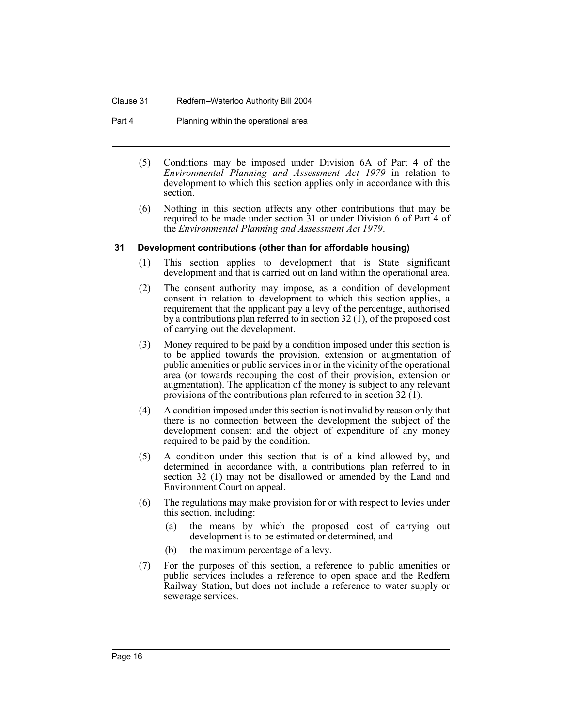#### Clause 31 Redfern–Waterloo Authority Bill 2004

Part 4 Planning within the operational area

- (5) Conditions may be imposed under Division 6A of Part 4 of the *Environmental Planning and Assessment Act 1979* in relation to development to which this section applies only in accordance with this section.
- (6) Nothing in this section affects any other contributions that may be required to be made under section 31 or under Division 6 of Part 4 of the *Environmental Planning and Assessment Act 1979*.

#### <span id="page-18-0"></span>**31 Development contributions (other than for affordable housing)**

- (1) This section applies to development that is State significant development and that is carried out on land within the operational area.
- (2) The consent authority may impose, as a condition of development consent in relation to development to which this section applies, a requirement that the applicant pay a levy of the percentage, authorised by a contributions plan referred to in section  $32 \overline{1}$ , of the proposed cost of carrying out the development.
- (3) Money required to be paid by a condition imposed under this section is to be applied towards the provision, extension or augmentation of public amenities or public services in or in the vicinity of the operational area (or towards recouping the cost of their provision, extension or augmentation). The application of the money is subject to any relevant provisions of the contributions plan referred to in section 32 (1).
- (4) A condition imposed under this section is not invalid by reason only that there is no connection between the development the subject of the development consent and the object of expenditure of any money required to be paid by the condition.
- (5) A condition under this section that is of a kind allowed by, and determined in accordance with, a contributions plan referred to in section 32 (1) may not be disallowed or amended by the Land and Environment Court on appeal.
- (6) The regulations may make provision for or with respect to levies under this section, including:
	- (a) the means by which the proposed cost of carrying out development is to be estimated or determined, and
	- (b) the maximum percentage of a levy.
- (7) For the purposes of this section, a reference to public amenities or public services includes a reference to open space and the Redfern Railway Station, but does not include a reference to water supply or sewerage services.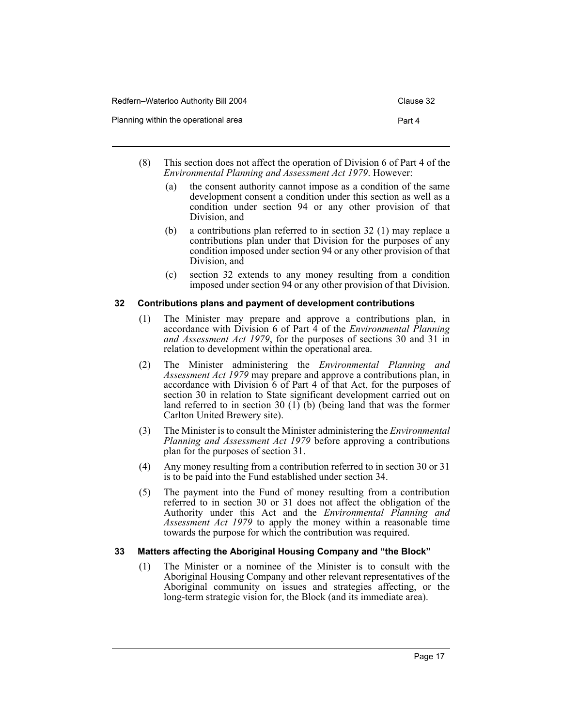- (8) This section does not affect the operation of Division 6 of Part 4 of the *Environmental Planning and Assessment Act 1979*. However:
	- (a) the consent authority cannot impose as a condition of the same development consent a condition under this section as well as a condition under section 94 or any other provision of that Division, and
	- (b) a contributions plan referred to in section 32 (1) may replace a contributions plan under that Division for the purposes of any condition imposed under section 94 or any other provision of that Division, and
	- (c) section 32 extends to any money resulting from a condition imposed under section 94 or any other provision of that Division.

#### <span id="page-19-0"></span>**32 Contributions plans and payment of development contributions**

- (1) The Minister may prepare and approve a contributions plan, in accordance with Division 6 of Part 4 of the *Environmental Planning and Assessment Act 1979*, for the purposes of sections 30 and 31 in relation to development within the operational area.
- (2) The Minister administering the *Environmental Planning and Assessment Act 1979* may prepare and approve a contributions plan, in accordance with Division 6 of Part 4 of that Act, for the purposes of section 30 in relation to State significant development carried out on land referred to in section 30  $(1)$  (b) (being land that was the former Carlton United Brewery site).
- (3) The Minister is to consult the Minister administering the *Environmental Planning and Assessment Act 1979* before approving a contributions plan for the purposes of section 31.
- (4) Any money resulting from a contribution referred to in section 30 or 31 is to be paid into the Fund established under section 34.
- (5) The payment into the Fund of money resulting from a contribution referred to in section 30 or 31 does not affect the obligation of the Authority under this Act and the *Environmental Planning and Assessment Act 1979* to apply the money within a reasonable time towards the purpose for which the contribution was required.

#### <span id="page-19-1"></span>**33 Matters affecting the Aboriginal Housing Company and "the Block"**

(1) The Minister or a nominee of the Minister is to consult with the Aboriginal Housing Company and other relevant representatives of the Aboriginal community on issues and strategies affecting, or the long-term strategic vision for, the Block (and its immediate area).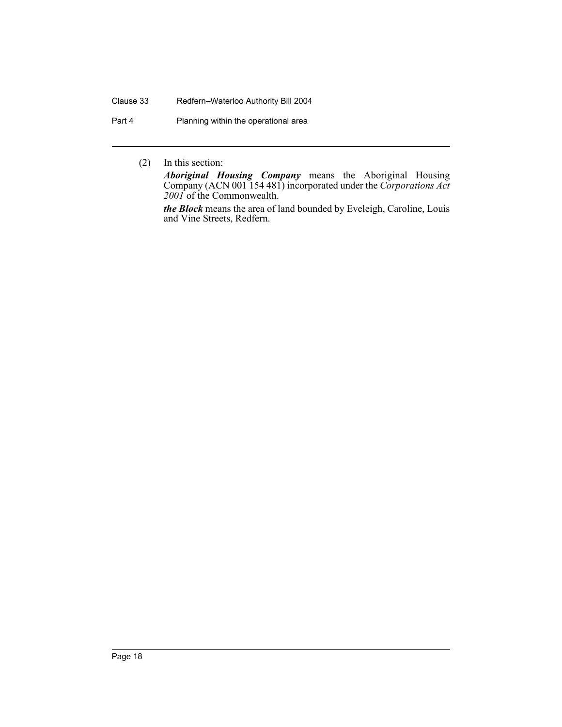#### Clause 33 Redfern–Waterloo Authority Bill 2004

Part 4 Planning within the operational area

(2) In this section:

*Aboriginal Housing Company* means the Aboriginal Housing Company (ACN 001 154 481) incorporated under the *Corporations Act 2001* of the Commonwealth.

*the Block* means the area of land bounded by Eveleigh, Caroline, Louis and Vine Streets, Redfern.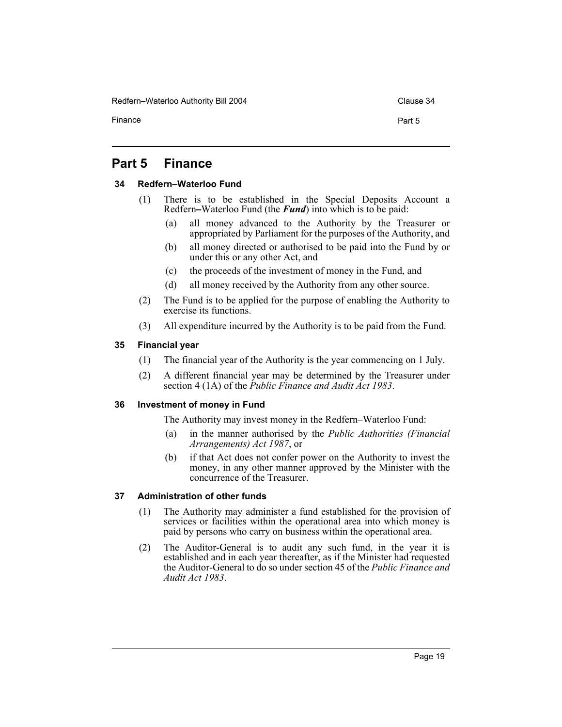Redfern–Waterloo Authority Bill 2004 Clause 34

Finance **Part 5** 

## <span id="page-21-0"></span>**Part 5 Finance**

#### <span id="page-21-1"></span>**34 Redfern–Waterloo Fund**

- (1) There is to be established in the Special Deposits Account a Redfern**–**Waterloo Fund (the *Fund*) into which is to be paid:
	- (a) all money advanced to the Authority by the Treasurer or appropriated by Parliament for the purposes of the Authority, and
	- (b) all money directed or authorised to be paid into the Fund by or under this or any other Act, and
	- (c) the proceeds of the investment of money in the Fund, and
	- (d) all money received by the Authority from any other source.
- (2) The Fund is to be applied for the purpose of enabling the Authority to exercise its functions.
- (3) All expenditure incurred by the Authority is to be paid from the Fund.

#### <span id="page-21-2"></span>**35 Financial year**

- (1) The financial year of the Authority is the year commencing on 1 July.
- (2) A different financial year may be determined by the Treasurer under section 4 (1A) of the *Public Finance and Audit Act 1983*.

#### <span id="page-21-3"></span>**36 Investment of money in Fund**

The Authority may invest money in the Redfern–Waterloo Fund:

- in the manner authorised by the *Public Authorities (Financial Arrangements) Act 1987*, or
- (b) if that Act does not confer power on the Authority to invest the money, in any other manner approved by the Minister with the concurrence of the Treasurer.

#### <span id="page-21-4"></span>**37 Administration of other funds**

- (1) The Authority may administer a fund established for the provision of services or facilities within the operational area into which money is paid by persons who carry on business within the operational area.
- (2) The Auditor-General is to audit any such fund, in the year it is established and in each year thereafter, as if the Minister had requested the Auditor-General to do so under section 45 of the *Public Finance and Audit Act 1983*.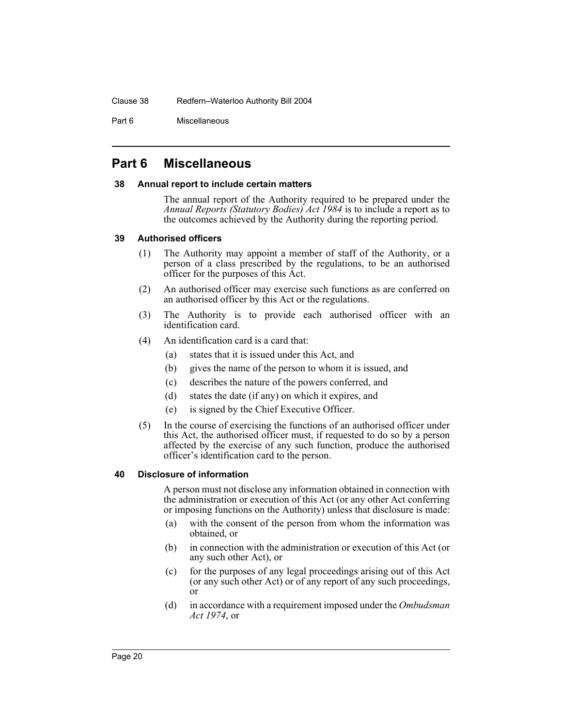Part 6 Miscellaneous

## <span id="page-22-0"></span>**Part 6 Miscellaneous**

#### <span id="page-22-1"></span>**38 Annual report to include certain matters**

The annual report of the Authority required to be prepared under the *Annual Reports (Statutory Bodies) Act 1984* is to include a report as to the outcomes achieved by the Authority during the reporting period.

#### <span id="page-22-2"></span>**39 Authorised officers**

- (1) The Authority may appoint a member of staff of the Authority, or a person of a class prescribed by the regulations, to be an authorised officer for the purposes of this Act.
- (2) An authorised officer may exercise such functions as are conferred on an authorised officer by this Act or the regulations.
- (3) The Authority is to provide each authorised officer with an identification card.
- (4) An identification card is a card that:
	- (a) states that it is issued under this Act, and
	- (b) gives the name of the person to whom it is issued, and
	- (c) describes the nature of the powers conferred, and
	- (d) states the date (if any) on which it expires, and
	- (e) is signed by the Chief Executive Officer.
- (5) In the course of exercising the functions of an authorised officer under this Act, the authorised officer must, if requested to do so by a person affected by the exercise of any such function, produce the authorised officer's identification card to the person.

#### <span id="page-22-3"></span>**40 Disclosure of information**

A person must not disclose any information obtained in connection with the administration or execution of this Act (or any other Act conferring or imposing functions on the Authority) unless that disclosure is made:

- (a) with the consent of the person from whom the information was obtained, or
- (b) in connection with the administration or execution of this Act (or any such other Act), or
- (c) for the purposes of any legal proceedings arising out of this Act (or any such other Act) or of any report of any such proceedings, or
- (d) in accordance with a requirement imposed under the *Ombudsman Act 1974*, or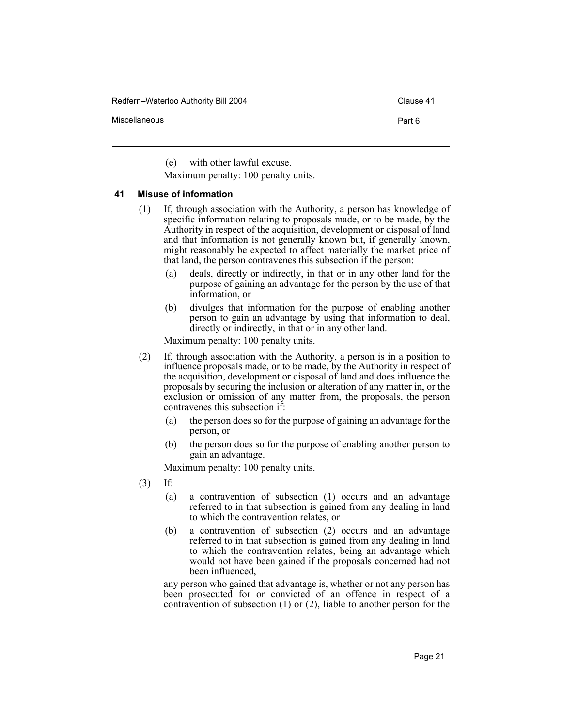Redfern–Waterloo Authority Bill 2004 Clause 41

Miscellaneous Part 6

(e) with other lawful excuse.

Maximum penalty: 100 penalty units.

#### <span id="page-23-0"></span>**41 Misuse of information**

- (1) If, through association with the Authority, a person has knowledge of specific information relating to proposals made, or to be made, by the Authority in respect of the acquisition, development or disposal of land and that information is not generally known but, if generally known, might reasonably be expected to affect materially the market price of that land, the person contravenes this subsection if the person:
	- (a) deals, directly or indirectly, in that or in any other land for the purpose of gaining an advantage for the person by the use of that information, or
	- (b) divulges that information for the purpose of enabling another person to gain an advantage by using that information to deal, directly or indirectly, in that or in any other land.

Maximum penalty: 100 penalty units.

- (2) If, through association with the Authority, a person is in a position to influence proposals made, or to be made, by the Authority in respect of the acquisition, development or disposal of land and does influence the proposals by securing the inclusion or alteration of any matter in, or the exclusion or omission of any matter from, the proposals, the person contravenes this subsection if:
	- (a) the person does so for the purpose of gaining an advantage for the person, or
	- (b) the person does so for the purpose of enabling another person to gain an advantage.

Maximum penalty: 100 penalty units.

- (3) If:
	- (a) a contravention of subsection (1) occurs and an advantage referred to in that subsection is gained from any dealing in land to which the contravention relates, or
	- (b) a contravention of subsection (2) occurs and an advantage referred to in that subsection is gained from any dealing in land to which the contravention relates, being an advantage which would not have been gained if the proposals concerned had not been influenced,

any person who gained that advantage is, whether or not any person has been prosecuted for or convicted of an offence in respect of a contravention of subsection (1) or (2), liable to another person for the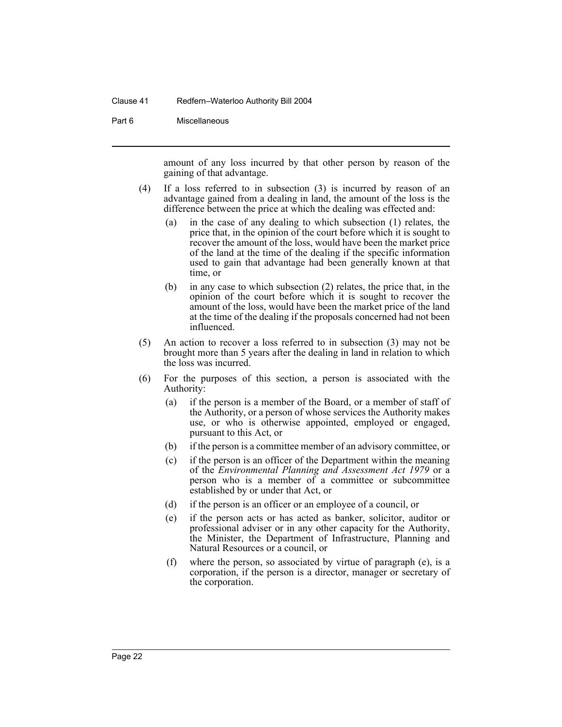#### Clause 41 Redfern–Waterloo Authority Bill 2004

#### Part 6 Miscellaneous

amount of any loss incurred by that other person by reason of the gaining of that advantage.

- (4) If a loss referred to in subsection (3) is incurred by reason of an advantage gained from a dealing in land, the amount of the loss is the difference between the price at which the dealing was effected and:
	- (a) in the case of any dealing to which subsection (1) relates, the price that, in the opinion of the court before which it is sought to recover the amount of the loss, would have been the market price of the land at the time of the dealing if the specific information used to gain that advantage had been generally known at that time, or
	- (b) in any case to which subsection (2) relates, the price that, in the opinion of the court before which it is sought to recover the amount of the loss, would have been the market price of the land at the time of the dealing if the proposals concerned had not been influenced.
- (5) An action to recover a loss referred to in subsection (3) may not be brought more than 5 years after the dealing in land in relation to which the loss was incurred.
- (6) For the purposes of this section, a person is associated with the Authority:
	- (a) if the person is a member of the Board, or a member of staff of the Authority, or a person of whose services the Authority makes use, or who is otherwise appointed, employed or engaged, pursuant to this Act, or
	- (b) if the person is a committee member of an advisory committee, or
	- (c) if the person is an officer of the Department within the meaning of the *Environmental Planning and Assessment Act 1979* or a person who is a member of a committee or subcommittee established by or under that Act, or
	- (d) if the person is an officer or an employee of a council, or
	- (e) if the person acts or has acted as banker, solicitor, auditor or professional adviser or in any other capacity for the Authority, the Minister, the Department of Infrastructure, Planning and Natural Resources or a council, or
	- (f) where the person, so associated by virtue of paragraph (e), is a corporation, if the person is a director, manager or secretary of the corporation.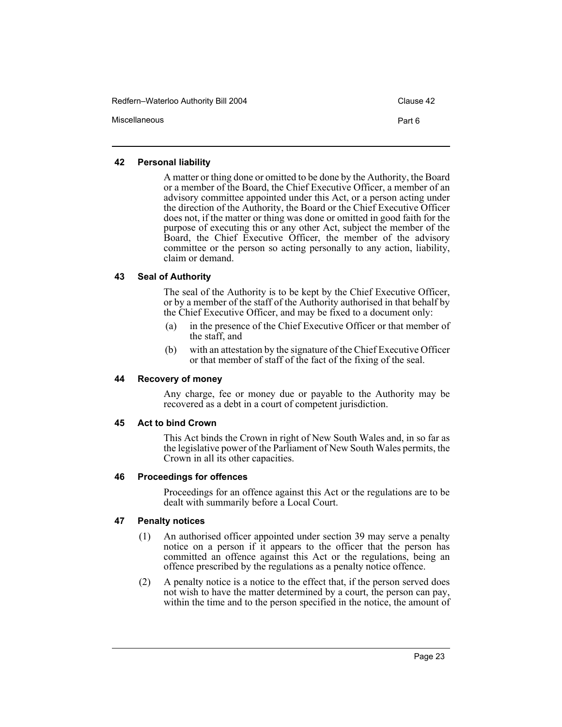| Redfern-Waterloo Authority Bill 2004 | Clause 42 |
|--------------------------------------|-----------|
| Miscellaneous                        | Part 6    |

#### <span id="page-25-0"></span>**42 Personal liability**

A matter or thing done or omitted to be done by the Authority, the Board or a member of the Board, the Chief Executive Officer, a member of an advisory committee appointed under this Act, or a person acting under the direction of the Authority, the Board or the Chief Executive Officer does not, if the matter or thing was done or omitted in good faith for the purpose of executing this or any other Act, subject the member of the Board, the Chief Executive Officer, the member of the advisory committee or the person so acting personally to any action, liability, claim or demand.

#### <span id="page-25-1"></span>**43 Seal of Authority**

The seal of the Authority is to be kept by the Chief Executive Officer, or by a member of the staff of the Authority authorised in that behalf by the Chief Executive Officer, and may be fixed to a document only:

- (a) in the presence of the Chief Executive Officer or that member of the staff, and
- (b) with an attestation by the signature of the Chief Executive Officer or that member of staff of the fact of the fixing of the seal.

#### <span id="page-25-2"></span>**44 Recovery of money**

Any charge, fee or money due or payable to the Authority may be recovered as a debt in a court of competent jurisdiction.

#### <span id="page-25-3"></span>**45 Act to bind Crown**

This Act binds the Crown in right of New South Wales and, in so far as the legislative power of the Parliament of New South Wales permits, the Crown in all its other capacities.

#### <span id="page-25-4"></span>**46 Proceedings for offences**

Proceedings for an offence against this Act or the regulations are to be dealt with summarily before a Local Court.

#### <span id="page-25-5"></span>**47 Penalty notices**

- (1) An authorised officer appointed under section 39 may serve a penalty notice on a person if it appears to the officer that the person has committed an offence against this Act or the regulations, being an offence prescribed by the regulations as a penalty notice offence.
- (2) A penalty notice is a notice to the effect that, if the person served does not wish to have the matter determined by a court, the person can pay, within the time and to the person specified in the notice, the amount of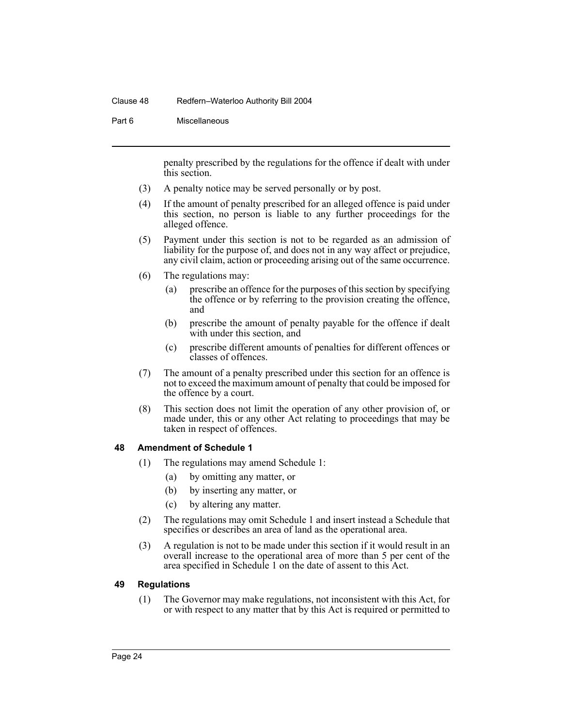#### Clause 48 Redfern–Waterloo Authority Bill 2004

#### Part 6 Miscellaneous

penalty prescribed by the regulations for the offence if dealt with under this section.

- (3) A penalty notice may be served personally or by post.
- (4) If the amount of penalty prescribed for an alleged offence is paid under this section, no person is liable to any further proceedings for the alleged offence.
- (5) Payment under this section is not to be regarded as an admission of liability for the purpose of, and does not in any way affect or prejudice, any civil claim, action or proceeding arising out of the same occurrence.
- (6) The regulations may:
	- (a) prescribe an offence for the purposes of this section by specifying the offence or by referring to the provision creating the offence, and
	- (b) prescribe the amount of penalty payable for the offence if dealt with under this section, and
	- (c) prescribe different amounts of penalties for different offences or classes of offences.
- (7) The amount of a penalty prescribed under this section for an offence is not to exceed the maximum amount of penalty that could be imposed for the offence by a court.
- (8) This section does not limit the operation of any other provision of, or made under, this or any other Act relating to proceedings that may be taken in respect of offences.

#### <span id="page-26-0"></span>**48 Amendment of Schedule 1**

- (1) The regulations may amend Schedule 1:
	- (a) by omitting any matter, or
	- (b) by inserting any matter, or
	- (c) by altering any matter.
- (2) The regulations may omit Schedule 1 and insert instead a Schedule that specifies or describes an area of land as the operational area.
- (3) A regulation is not to be made under this section if it would result in an overall increase to the operational area of more than 5 per cent of the area specified in Schedule 1 on the date of assent to this Act.

#### <span id="page-26-1"></span>**49 Regulations**

(1) The Governor may make regulations, not inconsistent with this Act, for or with respect to any matter that by this Act is required or permitted to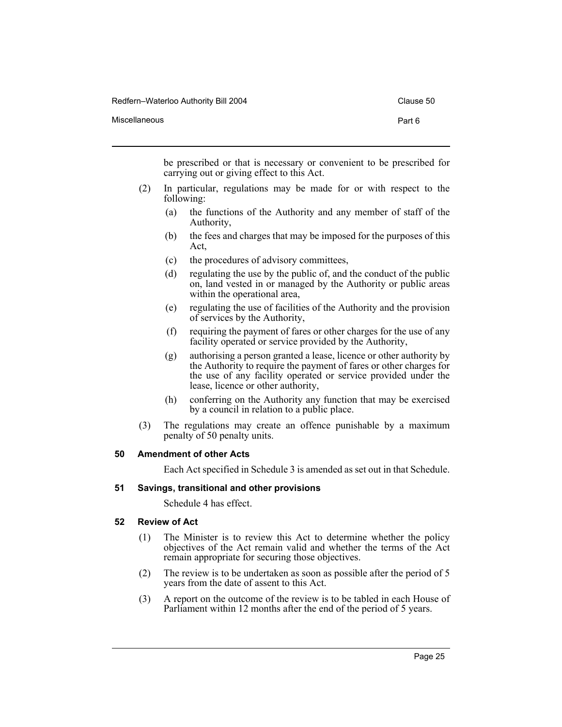Miscellaneous **Part 6** 

be prescribed or that is necessary or convenient to be prescribed for carrying out or giving effect to this Act.

- (2) In particular, regulations may be made for or with respect to the following:
	- (a) the functions of the Authority and any member of staff of the Authority,
	- (b) the fees and charges that may be imposed for the purposes of this Act,
	- (c) the procedures of advisory committees,
	- (d) regulating the use by the public of, and the conduct of the public on, land vested in or managed by the Authority or public areas within the operational area,
	- (e) regulating the use of facilities of the Authority and the provision of services by the Authority,
	- (f) requiring the payment of fares or other charges for the use of any facility operated or service provided by the Authority,
	- (g) authorising a person granted a lease, licence or other authority by the Authority to require the payment of fares or other charges for the use of any facility operated or service provided under the lease, licence or other authority,
	- (h) conferring on the Authority any function that may be exercised by a council in relation to a public place.
- (3) The regulations may create an offence punishable by a maximum penalty of 50 penalty units.

#### <span id="page-27-0"></span>**50 Amendment of other Acts**

Each Act specified in Schedule 3 is amended as set out in that Schedule.

#### <span id="page-27-1"></span>**51 Savings, transitional and other provisions**

Schedule 4 has effect.

#### <span id="page-27-2"></span>**52 Review of Act**

- (1) The Minister is to review this Act to determine whether the policy objectives of the Act remain valid and whether the terms of the Act remain appropriate for securing those objectives.
- (2) The review is to be undertaken as soon as possible after the period of 5 years from the date of assent to this Act.
- (3) A report on the outcome of the review is to be tabled in each House of Parliament within 12 months after the end of the period of 5 years.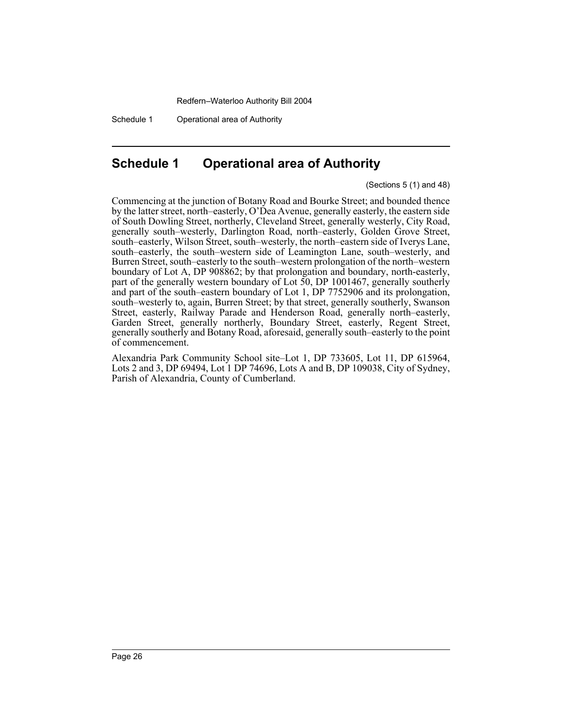Schedule 1 Operational area of Authority

## <span id="page-28-0"></span>**Schedule 1 Operational area of Authority**

(Sections 5 (1) and 48)

Commencing at the junction of Botany Road and Bourke Street; and bounded thence by the latter street, north–easterly, O'Dea Avenue, generally easterly, the eastern side of South Dowling Street, northerly, Cleveland Street, generally westerly, City Road, generally south–westerly, Darlington Road, north–easterly, Golden Grove Street, south–easterly, Wilson Street, south–westerly, the north–eastern side of Iverys Lane, south–easterly, the south–western side of Leamington Lane, south–westerly, and Burren Street, south–easterly to the south–western prolongation of the north–western boundary of Lot A, DP 908862; by that prolongation and boundary, north-easterly, part of the generally western boundary of Lot 50, DP 1001467, generally southerly and part of the south–eastern boundary of Lot 1, DP 7752906 and its prolongation, south–westerly to, again, Burren Street; by that street, generally southerly, Swanson Street, easterly, Railway Parade and Henderson Road, generally north–easterly, Garden Street, generally northerly, Boundary Street, easterly, Regent Street, generally southerly and Botany Road, aforesaid, generally south–easterly to the point of commencement.

Alexandria Park Community School site–Lot 1, DP 733605, Lot 11, DP 615964, Lots 2 and 3, DP 69494, Lot 1 DP 74696, Lots A and B, DP 109038, City of Sydney, Parish of Alexandria, County of Cumberland.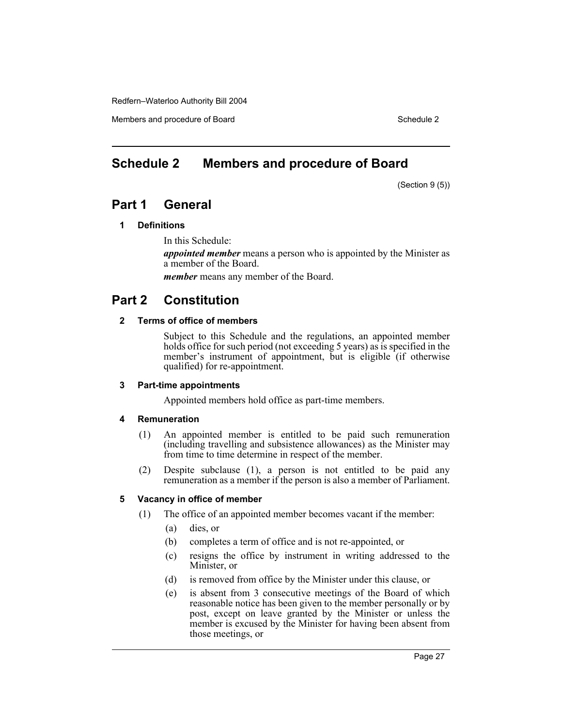Members and procedure of Board Schedule 2 and Schedule 2 and Schedule 2 and Schedule 2

## <span id="page-29-0"></span>**Schedule 2 Members and procedure of Board**

(Section 9 (5))

## **Part 1 General**

#### **1 Definitions**

In this Schedule:

*appointed member* means a person who is appointed by the Minister as a member of the Board.

*member* means any member of the Board.

## **Part 2 Constitution**

#### **2 Terms of office of members**

Subject to this Schedule and the regulations, an appointed member holds office for such period (not exceeding 5 years) as is specified in the member's instrument of appointment, but is eligible (if otherwise qualified) for re-appointment.

#### **3 Part-time appointments**

Appointed members hold office as part-time members.

#### **4 Remuneration**

- (1) An appointed member is entitled to be paid such remuneration (including travelling and subsistence allowances) as the Minister may from time to time determine in respect of the member.
- (2) Despite subclause (1), a person is not entitled to be paid any remuneration as a member if the person is also a member of Parliament.

#### **5 Vacancy in office of member**

- (1) The office of an appointed member becomes vacant if the member:
	- (a) dies, or
	- (b) completes a term of office and is not re-appointed, or
	- (c) resigns the office by instrument in writing addressed to the Minister, or
	- (d) is removed from office by the Minister under this clause, or
	- (e) is absent from 3 consecutive meetings of the Board of which reasonable notice has been given to the member personally or by post, except on leave granted by the Minister or unless the member is excused by the Minister for having been absent from those meetings, or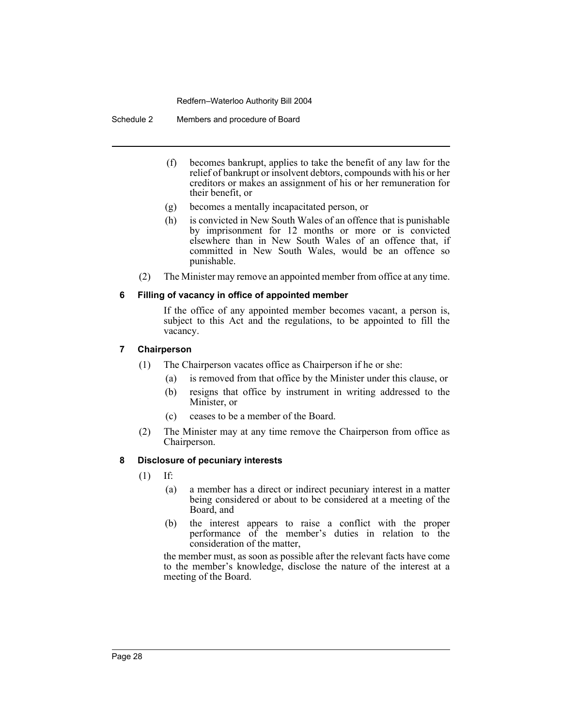Schedule 2 Members and procedure of Board

- (f) becomes bankrupt, applies to take the benefit of any law for the relief of bankrupt or insolvent debtors, compounds with his or her creditors or makes an assignment of his or her remuneration for their benefit, or
- (g) becomes a mentally incapacitated person, or
- (h) is convicted in New South Wales of an offence that is punishable by imprisonment for 12 months or more or is convicted elsewhere than in New South Wales of an offence that, if committed in New South Wales, would be an offence so punishable.
- (2) The Minister may remove an appointed member from office at any time.

#### **6 Filling of vacancy in office of appointed member**

If the office of any appointed member becomes vacant, a person is, subject to this Act and the regulations, to be appointed to fill the vacancy.

#### **7 Chairperson**

- (1) The Chairperson vacates office as Chairperson if he or she:
	- (a) is removed from that office by the Minister under this clause, or
	- (b) resigns that office by instrument in writing addressed to the Minister, or
	- (c) ceases to be a member of the Board.
- (2) The Minister may at any time remove the Chairperson from office as Chairperson.

#### **8 Disclosure of pecuniary interests**

- (1) If:
	- (a) a member has a direct or indirect pecuniary interest in a matter being considered or about to be considered at a meeting of the Board, and
	- (b) the interest appears to raise a conflict with the proper performance of the member's duties in relation to the consideration of the matter,

the member must, as soon as possible after the relevant facts have come to the member's knowledge, disclose the nature of the interest at a meeting of the Board.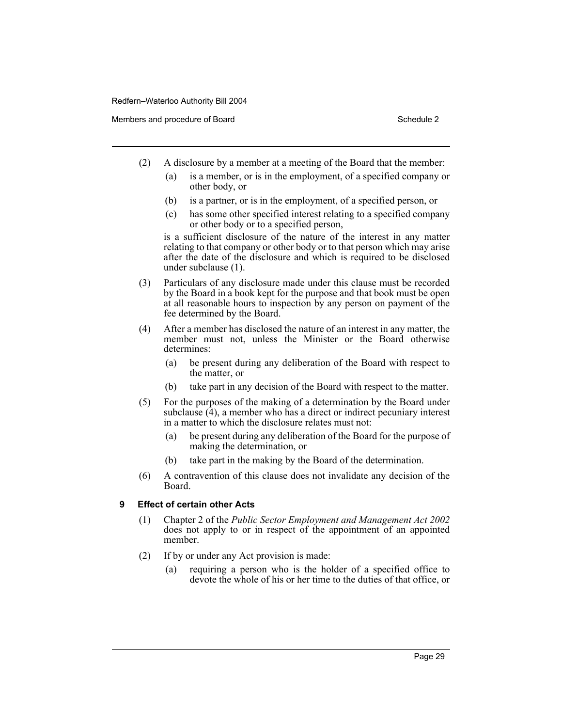Members and procedure of Board Schedule 2 and Schedule 2

- (2) A disclosure by a member at a meeting of the Board that the member:
	- (a) is a member, or is in the employment, of a specified company or other body, or
	- (b) is a partner, or is in the employment, of a specified person, or
	- (c) has some other specified interest relating to a specified company or other body or to a specified person,

is a sufficient disclosure of the nature of the interest in any matter relating to that company or other body or to that person which may arise after the date of the disclosure and which is required to be disclosed under subclause (1).

- (3) Particulars of any disclosure made under this clause must be recorded by the Board in a book kept for the purpose and that book must be open at all reasonable hours to inspection by any person on payment of the fee determined by the Board.
- (4) After a member has disclosed the nature of an interest in any matter, the member must not, unless the Minister or the Board otherwise determines:
	- (a) be present during any deliberation of the Board with respect to the matter, or
	- (b) take part in any decision of the Board with respect to the matter.
- (5) For the purposes of the making of a determination by the Board under subclause  $(4)$ , a member who has a direct or indirect pecuniary interest in a matter to which the disclosure relates must not:
	- (a) be present during any deliberation of the Board for the purpose of making the determination, or
	- (b) take part in the making by the Board of the determination.
- (6) A contravention of this clause does not invalidate any decision of the Board.

#### **9 Effect of certain other Acts**

- (1) Chapter 2 of the *Public Sector Employment and Management Act 2002* does not apply to or in respect of the appointment of an appointed member.
- (2) If by or under any Act provision is made:
	- (a) requiring a person who is the holder of a specified office to devote the whole of his or her time to the duties of that office, or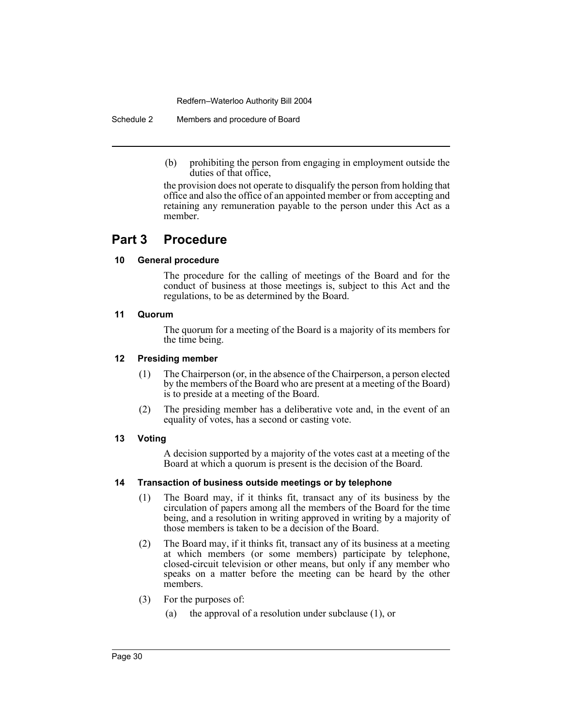Schedule 2 Members and procedure of Board

(b) prohibiting the person from engaging in employment outside the duties of that office,

the provision does not operate to disqualify the person from holding that office and also the office of an appointed member or from accepting and retaining any remuneration payable to the person under this Act as a member.

## **Part 3 Procedure**

#### **10 General procedure**

The procedure for the calling of meetings of the Board and for the conduct of business at those meetings is, subject to this Act and the regulations, to be as determined by the Board.

#### **11 Quorum**

The quorum for a meeting of the Board is a majority of its members for the time being.

#### **12 Presiding member**

- (1) The Chairperson (or, in the absence of the Chairperson, a person elected by the members of the Board who are present at a meeting of the Board) is to preside at a meeting of the Board.
- (2) The presiding member has a deliberative vote and, in the event of an equality of votes, has a second or casting vote.

#### **13 Voting**

A decision supported by a majority of the votes cast at a meeting of the Board at which a quorum is present is the decision of the Board.

#### **14 Transaction of business outside meetings or by telephone**

- (1) The Board may, if it thinks fit, transact any of its business by the circulation of papers among all the members of the Board for the time being, and a resolution in writing approved in writing by a majority of those members is taken to be a decision of the Board.
- (2) The Board may, if it thinks fit, transact any of its business at a meeting at which members (or some members) participate by telephone, closed-circuit television or other means, but only if any member who speaks on a matter before the meeting can be heard by the other members.
- (3) For the purposes of:
	- (a) the approval of a resolution under subclause (1), or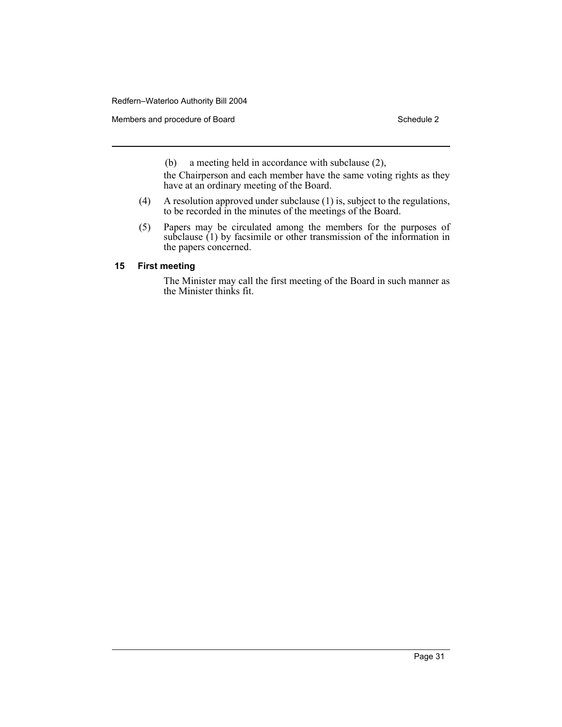Members and procedure of Board Schedule 2

(b) a meeting held in accordance with subclause (2),

the Chairperson and each member have the same voting rights as they have at an ordinary meeting of the Board.

- (4) A resolution approved under subclause (1) is, subject to the regulations, to be recorded in the minutes of the meetings of the Board.
- (5) Papers may be circulated among the members for the purposes of subclause (1) by facsimile or other transmission of the information in the papers concerned.

#### **15 First meeting**

The Minister may call the first meeting of the Board in such manner as the Minister thinks fit.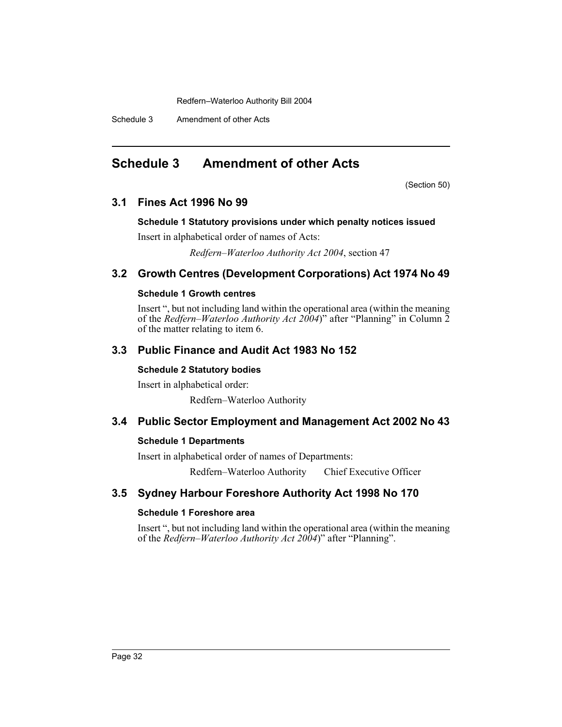Schedule 3 Amendment of other Acts

## <span id="page-34-0"></span>**Schedule 3 Amendment of other Acts**

(Section 50)

## **3.1 Fines Act 1996 No 99**

#### **Schedule 1 Statutory provisions under which penalty notices issued**

Insert in alphabetical order of names of Acts:

*Redfern–Waterloo Authority Act 2004*, section 47

### **3.2 Growth Centres (Development Corporations) Act 1974 No 49**

#### **Schedule 1 Growth centres**

Insert ", but not including land within the operational area (within the meaning of the *Redfern–Waterloo Authority Act 2004*)" after "Planning" in Column 2 of the matter relating to item 6.

### **3.3 Public Finance and Audit Act 1983 No 152**

#### **Schedule 2 Statutory bodies**

Insert in alphabetical order:

Redfern–Waterloo Authority

#### **3.4 Public Sector Employment and Management Act 2002 No 43**

#### **Schedule 1 Departments**

Insert in alphabetical order of names of Departments:

Redfern–Waterloo Authority Chief Executive Officer

## **3.5 Sydney Harbour Foreshore Authority Act 1998 No 170**

#### **Schedule 1 Foreshore area**

Insert ", but not including land within the operational area (within the meaning of the *Redfern–Waterloo Authority Act 2004*)" after "Planning".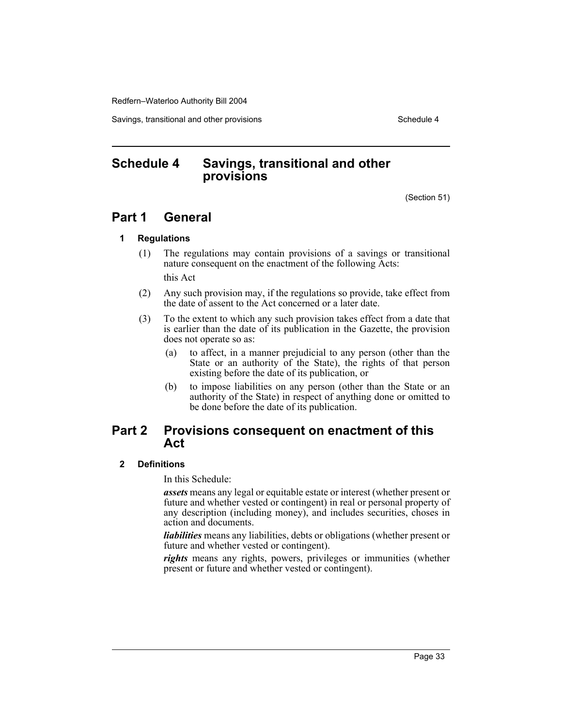Savings, transitional and other provisions Schedule 4 and the state of the Schedule 4

## <span id="page-35-0"></span>**Schedule 4 Savings, transitional and other provisions**

(Section 51)

## **Part 1 General**

#### **1 Regulations**

- (1) The regulations may contain provisions of a savings or transitional nature consequent on the enactment of the following Acts: this Act
- (2) Any such provision may, if the regulations so provide, take effect from the date of assent to the Act concerned or a later date.
- (3) To the extent to which any such provision takes effect from a date that is earlier than the date of its publication in the Gazette, the provision does not operate so as:
	- (a) to affect, in a manner prejudicial to any person (other than the State or an authority of the State), the rights of that person existing before the date of its publication, or
	- (b) to impose liabilities on any person (other than the State or an authority of the State) in respect of anything done or omitted to be done before the date of its publication.

## **Part 2 Provisions consequent on enactment of this Act**

#### **2 Definitions**

In this Schedule:

*assets* means any legal or equitable estate or interest (whether present or future and whether vested or contingent) in real or personal property of any description (including money), and includes securities, choses in action and documents.

*liabilities* means any liabilities, debts or obligations (whether present or future and whether vested or contingent).

*rights* means any rights, powers, privileges or immunities (whether present or future and whether vested or contingent).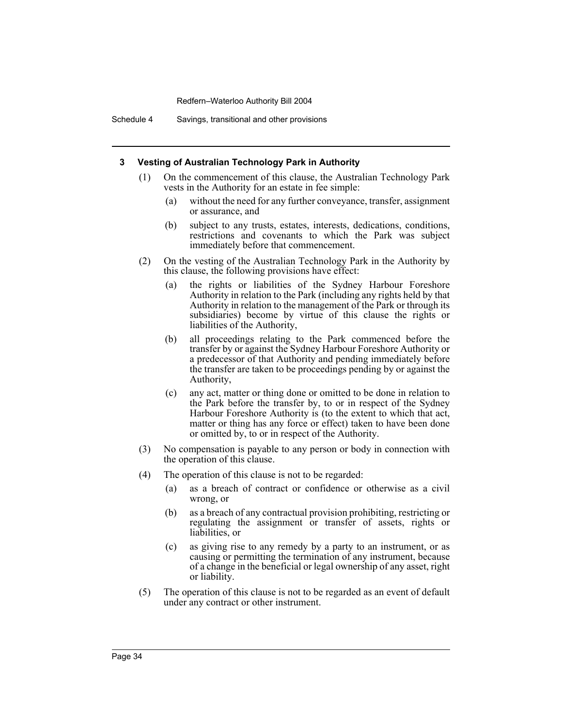Schedule 4 Savings, transitional and other provisions

#### **3 Vesting of Australian Technology Park in Authority**

- (1) On the commencement of this clause, the Australian Technology Park vests in the Authority for an estate in fee simple:
	- (a) without the need for any further conveyance, transfer, assignment or assurance, and
	- (b) subject to any trusts, estates, interests, dedications, conditions, restrictions and covenants to which the Park was subject immediately before that commencement.
- (2) On the vesting of the Australian Technology Park in the Authority by this clause, the following provisions have effect:
	- (a) the rights or liabilities of the Sydney Harbour Foreshore Authority in relation to the Park (including any rights held by that Authority in relation to the management of the Park or through its subsidiaries) become by virtue of this clause the rights or liabilities of the Authority,
	- (b) all proceedings relating to the Park commenced before the transfer by or against the Sydney Harbour Foreshore Authority or a predecessor of that Authority and pending immediately before the transfer are taken to be proceedings pending by or against the Authority,
	- (c) any act, matter or thing done or omitted to be done in relation to the Park before the transfer by, to or in respect of the Sydney Harbour Foreshore Authority is (to the extent to which that act, matter or thing has any force or effect) taken to have been done or omitted by, to or in respect of the Authority.
- (3) No compensation is payable to any person or body in connection with the operation of this clause.
- (4) The operation of this clause is not to be regarded:
	- (a) as a breach of contract or confidence or otherwise as a civil wrong, or
	- (b) as a breach of any contractual provision prohibiting, restricting or regulating the assignment or transfer of assets, rights or liabilities, or
	- (c) as giving rise to any remedy by a party to an instrument, or as causing or permitting the termination of any instrument, because of a change in the beneficial or legal ownership of any asset, right or liability.
- (5) The operation of this clause is not to be regarded as an event of default under any contract or other instrument.